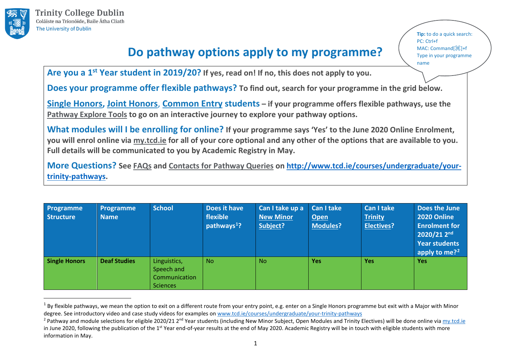

## **Do pathway options apply to my programme?**

<span id="page-0-1"></span><span id="page-0-0"></span>**Tip:** to do a quick search: PC: Ctrl+f MAC: Command[⌘]+f Type in your programme name

**Are you a 1st Year student in 2019/20? If yes, read on! If no, this does not apply to you.**

**Does your programme offer flexible pathways? To find out, search for your programme in the grid below.**

**[Single Honors,](https://www.tcd.ie/courses/undergraduate/your-trinity-pathways/assets/Explore-your-pathways-SH.pdf) [Joint Honors](https://www.tcd.ie/courses/undergraduate/your-trinity-pathways/assets/Explore-your-pathways-JH.pdf)**, **[Common Entry](https://www.tcd.ie/courses/undergraduate/your-trinity-pathways/assets/Explore-your-pathways-CE.pdf) students – if your programme offers flexible pathways, use the [Pathway Explore Tools](https://www.tcd.ie/courses/undergraduate/your-trinity-pathways) to go on an interactive journey to explore your pathway options.**

**What modules will I be enrolling for online? If your programme says 'Yes' to the June 2020 Online Enrolment, you will enrol online via [my.tcd.ie](https://my.tcd.ie/urd/sits.urd/run/siw_lgn) for all of your core optional and any other of the options that are available to you. Full details will be communicated to you by Academic Registry in May.**

**More Questions? See [FAQs](https://www.tcd.ie/courses/undergraduate/your-trinity-pathways/#faq-section) and [Contacts for Pathway Queries](https://www.tcd.ie/courses/undergraduate/your-trinity-pathways/assets/Contacts.pdf) on [http://www.tcd.ie/courses/undergraduate/your](http://www.tcd.ie/courses/undergraduate/your-trinity-pathways)[trinity-pathways.](http://www.tcd.ie/courses/undergraduate/your-trinity-pathways)**

| Programme<br><b>Structure</b> | <b>Programme</b><br><b>Name</b> | <b>School</b>                                                  | Does it have<br>flexible<br>pathways <sup>1</sup> ? | Can I take up a<br><b>New Minor</b><br>Subject? | Can I take<br>Open<br><b>Modules?</b> | Can I take<br><b>Trinity</b><br><b>Electives?</b> | Does the June<br>2020 Online<br><b>Enrolment for</b><br>$2020/212^{nd}$<br><b>Year students</b> |
|-------------------------------|---------------------------------|----------------------------------------------------------------|-----------------------------------------------------|-------------------------------------------------|---------------------------------------|---------------------------------------------------|-------------------------------------------------------------------------------------------------|
| <b>Single Honors</b>          | <b>Deaf Studies</b>             | Linguistics,<br>Speech and<br>Communication<br><b>Sciences</b> | <b>No</b>                                           | <b>No</b>                                       | <b>Yes</b>                            | <b>Yes</b>                                        | apply to me? <sup>2</sup><br><b>Yes</b>                                                         |

 $1$  By flexible pathways, we mean the option to exit on a different route from your entry point, e.g. enter on a Single Honors programme but exit with a Major with Minor degree. See introductory video and case study videos for examples on [www.tcd.ie/courses/undergraduate/your-trinity-pathways](http://www.tcd.ie/courses/undergraduate/your-trinity-pathways)

<sup>&</sup>lt;sup>2</sup> Pathway and module selections for eligible 2020/21 2<sup>nd</sup> Year students (including New Minor Subject, Open Modules and Trinity Electives) will be done online vi[a my.tcd.ie](https://my.tcd.ie/urd/sits.urd/run/siw_lgn) in June 2020, following the publication of the 1<sup>st</sup> Year end-of-year results at the end of May 2020. Academic Registry will be in touch with eligible students with more information in May.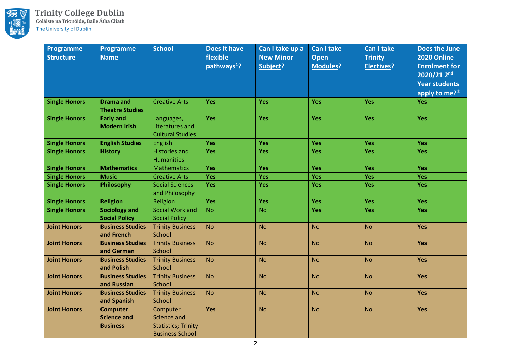

| Programme<br><b>Structure</b> | <b>Programme</b><br><b>Name</b>                          | <b>School</b>                                                                   | <b>Does it have</b><br>flexible<br>pathways <sup>1</sup> ? | Can I take up a<br><b>New Minor</b><br>Subject? | <b>Can I take</b><br><b>Open</b><br><b>Modules?</b> | <b>Can I take</b><br><b>Trinity</b><br><b>Electives?</b> | Does the June<br>2020 Online<br><b>Enrolment for</b><br>2020/21 2nd<br><b>Year students</b><br>apply to me? <sup>2</sup> |
|-------------------------------|----------------------------------------------------------|---------------------------------------------------------------------------------|------------------------------------------------------------|-------------------------------------------------|-----------------------------------------------------|----------------------------------------------------------|--------------------------------------------------------------------------------------------------------------------------|
| <b>Single Honors</b>          | <b>Drama and</b><br><b>Theatre Studies</b>               | <b>Creative Arts</b>                                                            | <b>Yes</b>                                                 | Yes                                             | <b>Yes</b>                                          | Yes                                                      | <b>Yes</b>                                                                                                               |
| <b>Single Honors</b>          | <b>Early and</b><br><b>Modern Irish</b>                  | Languages,<br>Literatures and<br><b>Cultural Studies</b>                        | Yes                                                        | Yes                                             | Yes                                                 | Yes                                                      | Yes                                                                                                                      |
| <b>Single Honors</b>          | <b>English Studies</b>                                   | English                                                                         | Yes                                                        | Yes                                             | Yes                                                 | Yes                                                      | Yes                                                                                                                      |
| <b>Single Honors</b>          | <b>History</b>                                           | <b>Histories and</b><br><b>Humanities</b>                                       | Yes                                                        | Yes                                             | Yes                                                 | Yes                                                      | Yes                                                                                                                      |
| <b>Single Honors</b>          | <b>Mathematics</b>                                       | <b>Mathematics</b>                                                              | Yes                                                        | Yes                                             | Yes                                                 | Yes                                                      | <b>Yes</b>                                                                                                               |
| <b>Single Honors</b>          | <b>Music</b>                                             | <b>Creative Arts</b>                                                            | Yes                                                        | Yes                                             | Yes                                                 | Yes                                                      | Yes                                                                                                                      |
| <b>Single Honors</b>          | Philosophy                                               | <b>Social Sciences</b><br>and Philosophy                                        | Yes                                                        | <b>Yes</b>                                      | <b>Yes</b>                                          | <b>Yes</b>                                               | <b>Yes</b>                                                                                                               |
| <b>Single Honors</b>          | <b>Religion</b>                                          | Religion                                                                        | Yes                                                        | Yes                                             | Yes                                                 | Yes                                                      | <b>Yes</b>                                                                                                               |
| <b>Single Honors</b>          | <b>Sociology and</b><br><b>Social Policy</b>             | Social Work and<br><b>Social Policy</b>                                         | <b>No</b>                                                  | <b>No</b>                                       | Yes                                                 | Yes                                                      | Yes                                                                                                                      |
| <b>Joint Honors</b>           | <b>Business Studies</b><br>and French                    | <b>Trinity Business</b><br>School                                               | <b>No</b>                                                  | <b>No</b>                                       | <b>No</b>                                           | <b>No</b>                                                | <b>Yes</b>                                                                                                               |
| <b>Joint Honors</b>           | <b>Business Studies</b><br>and German                    | <b>Trinity Business</b><br>School                                               | <b>No</b>                                                  | <b>No</b>                                       | <b>No</b>                                           | <b>No</b>                                                | <b>Yes</b>                                                                                                               |
| <b>Joint Honors</b>           | <b>Business Studies</b><br>and Polish                    | <b>Trinity Business</b><br>School                                               | <b>No</b>                                                  | <b>No</b>                                       | <b>No</b>                                           | <b>No</b>                                                | <b>Yes</b>                                                                                                               |
| <b>Joint Honors</b>           | <b>Business Studies</b><br>and Russian                   | <b>Trinity Business</b><br>School                                               | <b>No</b>                                                  | <b>No</b>                                       | <b>No</b>                                           | <b>No</b>                                                | Yes                                                                                                                      |
| <b>Joint Honors</b>           | <b>Business Studies</b><br>and Spanish                   | <b>Trinity Business</b><br>School                                               | <b>No</b>                                                  | <b>No</b>                                       | <b>No</b>                                           | <b>No</b>                                                | Yes                                                                                                                      |
| <b>Joint Honors</b>           | <b>Computer</b><br><b>Science and</b><br><b>Business</b> | Computer<br>Science and<br><b>Statistics; Trinity</b><br><b>Business School</b> | Yes                                                        | <b>No</b>                                       | <b>No</b>                                           | <b>No</b>                                                | Yes                                                                                                                      |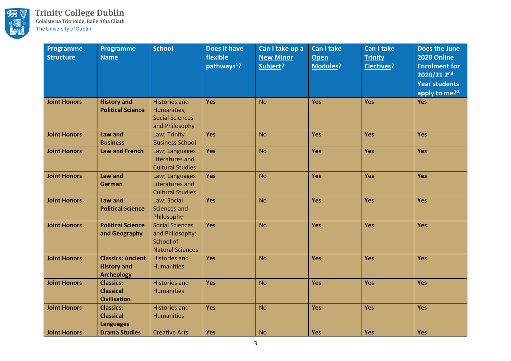

| Programme<br><b>Structure</b> | <b>Programme</b><br><b>Name</b>                                     | <b>School</b>                                                                     | Does it have<br>flexible<br>pathways <sup>1</sup> ? | Can I take up a<br><b>New Minor</b><br>Subject? | <b>Can I take</b><br><b>Open</b><br><b>Modules?</b> | <b>Can I take</b><br><b>Trinity</b><br><b>Electives?</b> | Does the June<br>2020 Online<br><b>Enrolment for</b><br>2020/21 2nd<br><b>Year students</b><br>apply to me? <sup>2</sup> |
|-------------------------------|---------------------------------------------------------------------|-----------------------------------------------------------------------------------|-----------------------------------------------------|-------------------------------------------------|-----------------------------------------------------|----------------------------------------------------------|--------------------------------------------------------------------------------------------------------------------------|
| <b>Joint Honors</b>           | <b>History and</b><br><b>Political Science</b>                      | <b>Histories and</b><br>Humanities;<br><b>Social Sciences</b><br>and Philosophy   | <b>Yes</b>                                          | <b>No</b>                                       | Yes                                                 | Yes                                                      | Yes                                                                                                                      |
| <b>Joint Honors</b>           | Law and<br><b>Business</b>                                          | Law; Trinity<br><b>Business School</b>                                            | Yes                                                 | <b>No</b>                                       | Yes                                                 | Yes                                                      | <b>Yes</b>                                                                                                               |
| <b>Joint Honors</b>           | <b>Law and French</b>                                               | Law; Languages<br>Literatures and<br><b>Cultural Studies</b>                      | Yes                                                 | <b>No</b>                                       | Yes                                                 | Yes                                                      | <b>Yes</b>                                                                                                               |
| <b>Joint Honors</b>           | Law and<br>German                                                   | Law; Languages<br>Literatures and<br><b>Cultural Studies</b>                      | <b>Yes</b>                                          | <b>No</b>                                       | Yes                                                 | Yes                                                      | Yes                                                                                                                      |
| <b>Joint Honors</b>           | Law and<br><b>Political Science</b>                                 | Law; Social<br>Sciences and<br>Philosophy                                         | <b>Yes</b>                                          | <b>No</b>                                       | Yes                                                 | Yes                                                      | <b>Yes</b>                                                                                                               |
| <b>Joint Honors</b>           | <b>Political Science</b><br>and Geography                           | <b>Social Sciences</b><br>and Philosophy;<br>School of<br><b>Natural Sciences</b> | <b>Yes</b>                                          | <b>No</b>                                       | Yes                                                 | Yes                                                      | <b>Yes</b>                                                                                                               |
| <b>Joint Honors</b>           | <b>Classics: Ancient</b><br><b>History and</b><br><b>Archeology</b> | <b>Histories and</b><br><b>Humanities</b>                                         | Yes                                                 | <b>No</b>                                       | Yes                                                 | Yes                                                      | Yes                                                                                                                      |
| <b>Joint Honors</b>           | <b>Classics:</b><br><b>Classical</b><br><b>Civilisation</b>         | <b>Histories and</b><br><b>Humanities</b>                                         | Yes                                                 | <b>No</b>                                       | Yes                                                 | Yes                                                      | <b>Yes</b>                                                                                                               |
| <b>Joint Honors</b>           | <b>Classics:</b><br><b>Classical</b><br><b>Languages</b>            | <b>Histories and</b><br><b>Humanities</b>                                         | <b>Yes</b>                                          | <b>No</b>                                       | Yes                                                 | Yes                                                      | Yes                                                                                                                      |
| <b>Joint Honors</b>           | <b>Drama Studies</b>                                                | <b>Creative Arts</b>                                                              | Yes                                                 | <b>No</b>                                       | Yes                                                 | Yes                                                      | Yes                                                                                                                      |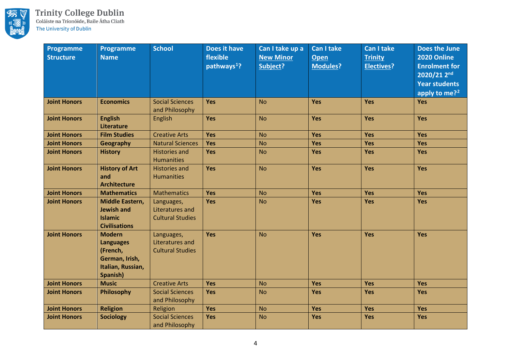

| Programme<br><b>Structure</b> | Programme<br><b>Name</b>                                                                         | <b>School</b>                                                   | Does it have<br>flexible<br>pathways <sup>1</sup> ? | Can I take up a<br><b>New Minor</b><br><b>Subject?</b> | <b>Can I take</b><br>Open<br><b>Modules?</b> | <b>Can I take</b><br><b>Trinity</b><br><b>Electives?</b> | Does the June<br>2020 Online<br><b>Enrolment for</b><br>$2020/21$ 2 <sup>nd</sup><br><b>Year students</b><br>apply to me? <sup>2</sup> |
|-------------------------------|--------------------------------------------------------------------------------------------------|-----------------------------------------------------------------|-----------------------------------------------------|--------------------------------------------------------|----------------------------------------------|----------------------------------------------------------|----------------------------------------------------------------------------------------------------------------------------------------|
| <b>Joint Honors</b>           | <b>Economics</b>                                                                                 | <b>Social Sciences</b><br>and Philosophy                        | <b>Yes</b>                                          | <b>No</b>                                              | Yes                                          | <b>Yes</b>                                               | Yes                                                                                                                                    |
| <b>Joint Honors</b>           | <b>English</b><br><b>Literature</b>                                                              | English                                                         | Yes                                                 | <b>No</b>                                              | Yes                                          | Yes                                                      | Yes                                                                                                                                    |
| <b>Joint Honors</b>           | <b>Film Studies</b>                                                                              | <b>Creative Arts</b>                                            | Yes                                                 | <b>No</b>                                              | Yes                                          | Yes                                                      | Yes                                                                                                                                    |
| <b>Joint Honors</b>           | <b>Geography</b>                                                                                 | <b>Natural Sciences</b>                                         | Yes                                                 | <b>No</b>                                              | Yes                                          | Yes                                                      | <b>Yes</b>                                                                                                                             |
| <b>Joint Honors</b>           | <b>History</b>                                                                                   | <b>Histories and</b><br><b>Humanities</b>                       | Yes                                                 | <b>No</b>                                              | <b>Yes</b>                                   | <b>Yes</b>                                               | <b>Yes</b>                                                                                                                             |
| <b>Joint Honors</b>           | <b>History of Art</b><br>and<br><b>Architecture</b>                                              | <b>Histories and</b><br><b>Humanities</b>                       | Yes                                                 | <b>No</b>                                              | Yes                                          | Yes                                                      | <b>Yes</b>                                                                                                                             |
| <b>Joint Honors</b>           | <b>Mathematics</b>                                                                               | <b>Mathematics</b>                                              | <b>Yes</b>                                          | <b>No</b>                                              | Yes                                          | <b>Yes</b>                                               | Yes                                                                                                                                    |
| <b>Joint Honors</b>           | Middle Eastern,<br><b>Jewish and</b><br><b>Islamic</b><br><b>Civilisations</b>                   | Languages,<br><b>Literatures and</b><br><b>Cultural Studies</b> | Yes                                                 | <b>No</b>                                              | Yes                                          | Yes                                                      | <b>Yes</b>                                                                                                                             |
| <b>Joint Honors</b>           | <b>Modern</b><br><b>Languages</b><br>(French,<br>German, Irish,<br>Italian, Russian,<br>Spanish) | Languages,<br>Literatures and<br><b>Cultural Studies</b>        | Yes                                                 | <b>No</b>                                              | Yes                                          | Yes                                                      | <b>Yes</b>                                                                                                                             |
| <b>Joint Honors</b>           | <b>Music</b>                                                                                     | <b>Creative Arts</b>                                            | Yes                                                 | <b>No</b>                                              | Yes                                          | Yes                                                      | <b>Yes</b>                                                                                                                             |
| <b>Joint Honors</b>           | Philosophy                                                                                       | <b>Social Sciences</b><br>and Philosophy                        | Yes                                                 | <b>No</b>                                              | <b>Yes</b>                                   | <b>Yes</b>                                               | <b>Yes</b>                                                                                                                             |
| <b>Joint Honors</b>           | <b>Religion</b>                                                                                  | Religion                                                        | Yes                                                 | <b>No</b>                                              | Yes                                          | Yes                                                      | Yes                                                                                                                                    |
| <b>Joint Honors</b>           | <b>Sociology</b>                                                                                 | <b>Social Sciences</b><br>and Philosophy                        | Yes                                                 | <b>No</b>                                              | Yes                                          | Yes                                                      | Yes                                                                                                                                    |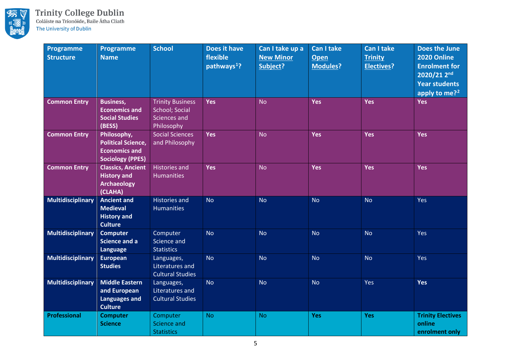

| Programme<br><b>Structure</b> | <b>Programme</b><br><b>Name</b>                                                             | <b>School</b>                                                                  | Does it have<br>flexible<br>pathways <sup>1</sup> ? | Can I take up a<br><b>New Minor</b><br>Subject? | <b>Can I take</b><br>Open<br><b>Modules?</b> | <b>Can I take</b><br><b>Trinity</b><br><b>Electives?</b> | Does the June<br>2020 Online<br><b>Enrolment for</b><br>2020/21 2nd<br><b>Year students</b><br>apply to me? <sup>2</sup> |
|-------------------------------|---------------------------------------------------------------------------------------------|--------------------------------------------------------------------------------|-----------------------------------------------------|-------------------------------------------------|----------------------------------------------|----------------------------------------------------------|--------------------------------------------------------------------------------------------------------------------------|
| <b>Common Entry</b>           | <b>Business,</b><br><b>Economics and</b><br><b>Social Studies</b><br>(BESS)                 | <b>Trinity Business</b><br>School; Social<br><b>Sciences and</b><br>Philosophy | <b>Yes</b>                                          | <b>No</b>                                       | Yes                                          | <b>Yes</b>                                               | <b>Yes</b>                                                                                                               |
| <b>Common Entry</b>           | Philosophy,<br><b>Political Science,</b><br><b>Economics and</b><br><b>Sociology (PPES)</b> | <b>Social Sciences</b><br>and Philosophy                                       | <b>Yes</b>                                          | <b>No</b>                                       | Yes                                          | Yes                                                      | <b>Yes</b>                                                                                                               |
| <b>Common Entry</b>           | <b>Classics, Ancient</b><br><b>History and</b><br><b>Archaeology</b><br>(CLAHA)             | <b>Histories and</b><br><b>Humanities</b>                                      | <b>Yes</b>                                          | <b>No</b>                                       | Yes                                          | Yes                                                      | <b>Yes</b>                                                                                                               |
| <b>Multidisciplinary</b>      | <b>Ancient and</b><br><b>Medieval</b><br><b>History and</b><br><b>Culture</b>               | <b>Histories and</b><br><b>Humanities</b>                                      | <b>No</b>                                           | <b>No</b>                                       | <b>No</b>                                    | <b>No</b>                                                | Yes                                                                                                                      |
| <b>Multidisciplinary</b>      | <b>Computer</b><br><b>Science and a</b><br>Language                                         | Computer<br>Science and<br><b>Statistics</b>                                   | <b>No</b>                                           | <b>No</b>                                       | <b>No</b>                                    | <b>No</b>                                                | Yes                                                                                                                      |
| <b>Multidisciplinary</b>      | European<br><b>Studies</b>                                                                  | Languages,<br>Literatures and<br><b>Cultural Studies</b>                       | <b>No</b>                                           | <b>No</b>                                       | <b>No</b>                                    | <b>No</b>                                                | Yes                                                                                                                      |
| <b>Multidisciplinary</b>      | <b>Middle Eastern</b><br>and European<br><b>Languages and</b><br><b>Culture</b>             | Languages,<br>Literatures and<br><b>Cultural Studies</b>                       | <b>No</b>                                           | <b>No</b>                                       | <b>No</b>                                    | Yes                                                      | Yes                                                                                                                      |
| <b>Professional</b>           | <b>Computer</b><br><b>Science</b>                                                           | Computer<br><b>Science and</b><br><b>Statistics</b>                            | <b>No</b>                                           | <b>No</b>                                       | Yes                                          | <b>Yes</b>                                               | <b>Trinity Electives</b><br>online<br>enrolment only                                                                     |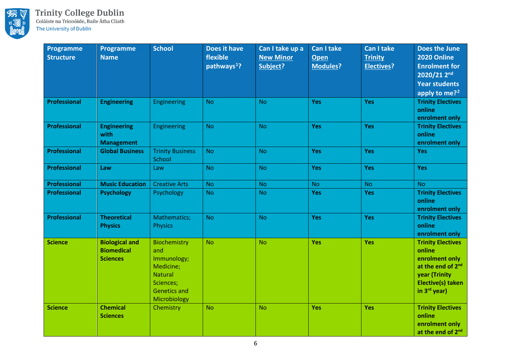

| <b>Programme</b><br><b>Structure</b> | <b>Programme</b><br><b>Name</b>                               | <b>School</b>                                                                                                         | Does it have<br>flexible<br>pathways <sup>1</sup> ? | Can I take up a<br><b>New Minor</b><br>Subject? | <b>Can I take</b><br><b>Open</b><br><b>Modules?</b> | <b>Can I take</b><br><b>Trinity</b><br><b>Electives?</b> | Does the June<br>2020 Online<br><b>Enrolment for</b><br>2020/21 2 <sup>nd</sup><br><b>Year students</b><br>apply to me? <sup>2</sup>          |
|--------------------------------------|---------------------------------------------------------------|-----------------------------------------------------------------------------------------------------------------------|-----------------------------------------------------|-------------------------------------------------|-----------------------------------------------------|----------------------------------------------------------|-----------------------------------------------------------------------------------------------------------------------------------------------|
| Professional                         | <b>Engineering</b>                                            | Engineering                                                                                                           | <b>No</b>                                           | <b>No</b>                                       | <b>Yes</b>                                          | Yes                                                      | <b>Trinity Electives</b><br>online<br>enrolment only                                                                                          |
| Professional                         | <b>Engineering</b><br>with<br><b>Management</b>               | Engineering                                                                                                           | <b>No</b>                                           | <b>No</b>                                       | <b>Yes</b>                                          | Yes                                                      | <b>Trinity Electives</b><br>online<br>enrolment only                                                                                          |
| Professional                         | <b>Global Business</b>                                        | <b>Trinity Business</b><br>School                                                                                     | <b>No</b>                                           | <b>No</b>                                       | Yes                                                 | Yes                                                      | <b>Yes</b>                                                                                                                                    |
| <b>Professional</b>                  | Law                                                           | Law                                                                                                                   | <b>No</b>                                           | <b>No</b>                                       | Yes                                                 | Yes                                                      | <b>Yes</b>                                                                                                                                    |
| Professional                         | <b>Music Education</b>                                        | <b>Creative Arts</b>                                                                                                  | <b>No</b>                                           | <b>No</b>                                       | <b>No</b>                                           | <b>No</b>                                                | <b>No</b>                                                                                                                                     |
| Professional                         | <b>Psychology</b>                                             | Psychology                                                                                                            | <b>No</b>                                           | <b>No</b>                                       | <b>Yes</b>                                          | Yes                                                      | <b>Trinity Electives</b><br>online<br>enrolment only                                                                                          |
| Professional                         | <b>Theoretical</b><br><b>Physics</b>                          | Mathematics;<br><b>Physics</b>                                                                                        | <b>No</b>                                           | <b>No</b>                                       | Yes                                                 | Yes                                                      | <b>Trinity Electives</b><br>online<br>enrolment only                                                                                          |
| <b>Science</b>                       | <b>Biological and</b><br><b>Biomedical</b><br><b>Sciences</b> | Biochemistry<br>and<br>Immunology;<br>Medicine;<br><b>Natural</b><br>Sciences;<br><b>Genetics and</b><br>Microbiology | <b>No</b>                                           | <b>No</b>                                       | Yes                                                 | Yes                                                      | <b>Trinity Electives</b><br>online<br>enrolment only<br>at the end of 2 <sup>nd</sup><br>year (Trinity<br>Elective(s) taken<br>in $3rd$ year) |
| <b>Science</b>                       | <b>Chemical</b><br><b>Sciences</b>                            | Chemistry                                                                                                             | <b>No</b>                                           | <b>No</b>                                       | Yes                                                 | Yes                                                      | <b>Trinity Electives</b><br>online<br>enrolment only<br>at the end of 2 <sup>nd</sup>                                                         |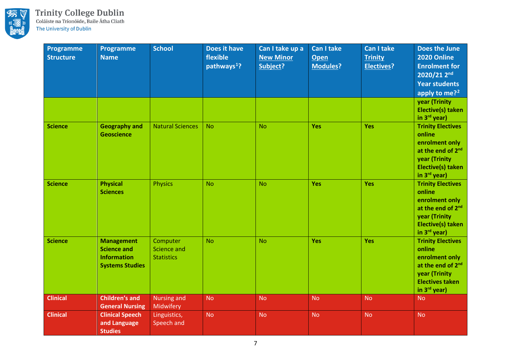

| <b>Programme</b><br><b>Structure</b> | <b>Programme</b><br><b>Name</b>                                                         | <b>School</b>                                       | Does it have<br>flexible<br>pathways <sup>1</sup> ? | Can I take up a<br><b>New Minor</b><br>Subject? | <b>Can I take</b><br><b>Open</b><br><b>Modules?</b> | <b>Can I take</b><br><b>Trinity</b><br><b>Electives?</b> | Does the June<br>2020 Online<br><b>Enrolment for</b><br>2020/21 2 <sup>nd</sup><br><b>Year students</b><br>apply to me? <sup>2</sup><br>year (Trinity<br><b>Elective(s) taken</b> |
|--------------------------------------|-----------------------------------------------------------------------------------------|-----------------------------------------------------|-----------------------------------------------------|-------------------------------------------------|-----------------------------------------------------|----------------------------------------------------------|-----------------------------------------------------------------------------------------------------------------------------------------------------------------------------------|
| <b>Science</b>                       | <b>Geography and</b><br><b>Geoscience</b>                                               | <b>Natural Sciences</b>                             | <b>No</b>                                           | <b>No</b>                                       | Yes                                                 | Yes                                                      | in 3rd year)<br><b>Trinity Electives</b><br>online<br>enrolment only                                                                                                              |
|                                      |                                                                                         |                                                     |                                                     |                                                 |                                                     |                                                          | at the end of 2 <sup>nd</sup><br>year (Trinity<br><b>Elective(s) taken</b><br>in 3rd year)                                                                                        |
| <b>Science</b>                       | <b>Physical</b><br><b>Sciences</b>                                                      | <b>Physics</b>                                      | <b>No</b>                                           | <b>No</b>                                       | Yes                                                 | Yes                                                      | <b>Trinity Electives</b><br>online<br>enrolment only<br>at the end of 2 <sup>nd</sup><br>year (Trinity<br>Elective(s) taken<br>in 3rd year)                                       |
| <b>Science</b>                       | <b>Management</b><br><b>Science and</b><br><b>Information</b><br><b>Systems Studies</b> | Computer<br><b>Science and</b><br><b>Statistics</b> | <b>No</b>                                           | <b>No</b>                                       | Yes                                                 | Yes                                                      | <b>Trinity Electives</b><br>online<br>enrolment only<br>at the end of 2 <sup>nd</sup><br>year (Trinity<br><b>Electives taken</b><br>in 3rd year)                                  |
| <b>Clinical</b>                      | <b>Children's and</b><br><b>General Nursing</b>                                         | <b>Nursing and</b><br>Midwifery                     | <b>No</b>                                           | <b>No</b>                                       | <b>No</b>                                           | <b>No</b>                                                | <b>No</b>                                                                                                                                                                         |
| <b>Clinical</b>                      | <b>Clinical Speech</b><br>and Language<br><b>Studies</b>                                | Linguistics,<br>Speech and                          | <b>No</b>                                           | <b>No</b>                                       | <b>No</b>                                           | <b>No</b>                                                | <b>No</b>                                                                                                                                                                         |